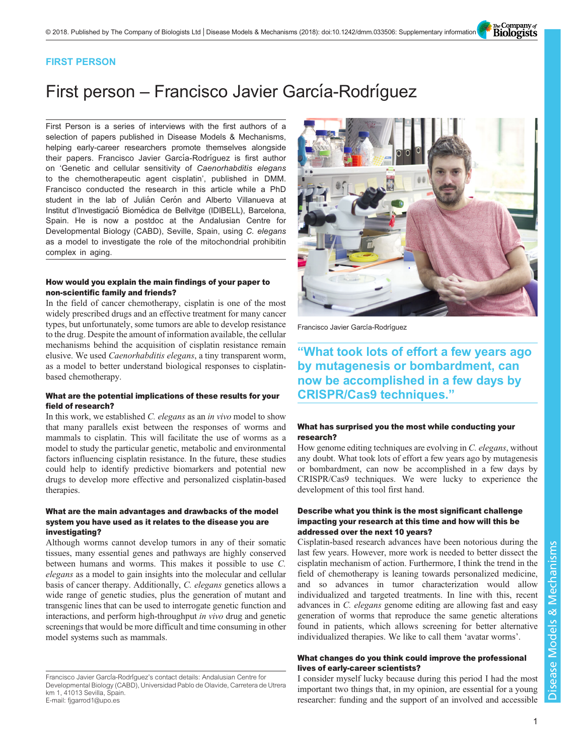The Company of<br>**Biologists** 

# FIRST PERSON

# First person – Francisco Javier García-Rodríguez

First Person is a series of interviews with the first authors of a selection of papers published in Disease Models & Mechanisms, helping early-career researchers promote themselves alongside their papers. Francisco Javier García-Rodríguez is first author on '[Genetic and cellular sensitivity of](#page-1-0) Caenorhabditis elegans [to the chemotherapeutic agent cisplatin](#page-1-0)', published in DMM. Francisco conducted the research in this article while a PhD student in the lab of Julián Cerón and Alberto Villanueva at Institut d'Investigació Biomédica de Bellvitge (IDIBELL), Barcelona, Spain. He is now a postdoc at the Andalusian Centre for Developmental Biology (CABD), Seville, Spain, using C. elegans as a model to investigate the role of the mitochondrial prohibitin complex in aging.

## How would you explain the main findings of your paper to non-scientific family and friends?

In the field of cancer chemotherapy, cisplatin is one of the most widely prescribed drugs and an effective treatment for many cancer types, but unfortunately, some tumors are able to develop resistance to the drug. Despite the amount of information available, the cellular mechanisms behind the acquisition of cisplatin resistance remain elusive. We used Caenorhabditis elegans, a tiny transparent worm, as a model to better understand biological responses to cisplatinbased chemotherapy.

## What are the potential implications of these results for your field of research?

In this work, we established C. elegans as an in vivo model to show that many parallels exist between the responses of worms and mammals to cisplatin. This will facilitate the use of worms as a model to study the particular genetic, metabolic and environmental factors influencing cisplatin resistance. In the future, these studies could help to identify predictive biomarkers and potential new drugs to develop more effective and personalized cisplatin-based therapies.

## What are the main advantages and drawbacks of the model system you have used as it relates to the disease you are investigating?

Although worms cannot develop tumors in any of their somatic tissues, many essential genes and pathways are highly conserved between humans and worms. This makes it possible to use C. elegans as a model to gain insights into the molecular and cellular basis of cancer therapy. Additionally, C. elegans genetics allows a wide range of genetic studies, plus the generation of mutant and transgenic lines that can be used to interrogate genetic function and interactions, and perform high-throughput in vivo drug and genetic screenings that would be more difficult and time consuming in other model systems such as mammals.



Francisco Javier García-Rodríguez

"What took lots of effort a few years ago by mutagenesis or bombardment, can now be accomplished in a few days by CRISPR/Cas9 techniques."

#### What has surprised you the most while conducting your research?

How genome editing techniques are evolving in C. elegans, without any doubt. What took lots of effort a few years ago by mutagenesis or bombardment, can now be accomplished in a few days by CRISPR/Cas9 techniques. We were lucky to experience the development of this tool first hand.

#### Describe what you think is the most significant challenge impacting your research at this time and how will this be addressed over the next 10 years?

Cisplatin-based research advances have been notorious during the last few years. However, more work is needed to better dissect the cisplatin mechanism of action. Furthermore, I think the trend in the field of chemotherapy is leaning towards personalized medicine, and so advances in tumor characterization would allow individualized and targeted treatments. In line with this, recent advances in C. elegans genome editing are allowing fast and easy generation of worms that reproduce the same genetic alterations found in patients, which allows screening for better alternative individualized therapies. We like to call them 'avatar worms'.

# What changes do you think could improve the professional lives of early-career scientists?

I consider myself lucky because during this period I had the most important two things that, in my opinion, are essential for a young researcher: funding and the support of an involved and accessible

Francisco Javier García-Rodríguez's contact details: Andalusian Centre for Developmental Biology (CABD), Universidad Pablo de Olavide, Carretera de Utrera km 1, 41013 Sevilla, Spain. E-mail: [fjgarrod1@upo.es](mailto:fjgarrod1@upo.es)